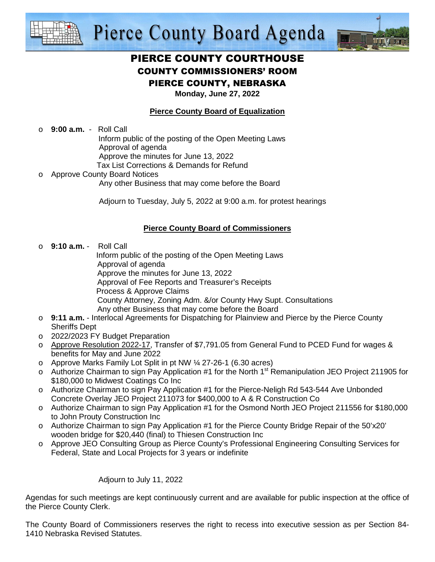



# PIERCE COUNTY COURTHOUSE COUNTY COMMISSIONERS' ROOM PIERCE COUNTY, NEBRASKA

**Monday, June 27, 2022** 

## **Pierce County Board of Equalization**

o **9:00 a.m.** - Roll Call

 Inform public of the posting of the Open Meeting Laws Approval of agenda Approve the minutes for June 13, 2022

Tax List Corrections & Demands for Refund

o Approve County Board Notices Any other Business that may come before the Board

Adjourn to Tuesday, July 5, 2022 at 9:00 a.m. for protest hearings

### **Pierce County Board of Commissioners**

#### **9:10 a.m.** - Roll Call

 Inform public of the posting of the Open Meeting Laws Approval of agenda Approve the minutes for June 13, 2022 Approval of Fee Reports and Treasurer's Receipts Process & Approve Claims County Attorney, Zoning Adm. &/or County Hwy Supt. Consultations Any other Business that may come before the Board

- o **9:11 a.m.** Interlocal Agreements for Dispatching for Plainview and Pierce by the Pierce County Sheriffs Dept
- o 2022/2023 FY Budget Preparation
- o Approve Resolution 2022-17, Transfer of \$7,791.05 from General Fund to PCED Fund for wages & benefits for May and June 2022
- o Approve Marks Family Lot Split in pt NW ¼ 27-26-1 (6.30 acres)
- $\circ$  Authorize Chairman to sign Pay Application #1 for the North 1<sup>st</sup> Remanipulation JEO Project 211905 for \$180,000 to Midwest Coatings Co Inc
- o Authorize Chairman to sign Pay Application #1 for the Pierce-Neligh Rd 543-544 Ave Unbonded Concrete Overlay JEO Project 211073 for \$400,000 to A & R Construction Co
- o Authorize Chairman to sign Pay Application #1 for the Osmond North JEO Project 211556 for \$180,000 to John Prouty Construction Inc
- o Authorize Chairman to sign Pay Application #1 for the Pierce County Bridge Repair of the 50'x20' wooden bridge for \$20,440 (final) to Thiesen Construction Inc
- o Approve JEO Consulting Group as Pierce County's Professional Engineering Consulting Services for Federal, State and Local Projects for 3 years or indefinite

#### Adjourn to July 11, 2022

Agendas for such meetings are kept continuously current and are available for public inspection at the office of the Pierce County Clerk.

The County Board of Commissioners reserves the right to recess into executive session as per Section 84- 1410 Nebraska Revised Statutes.